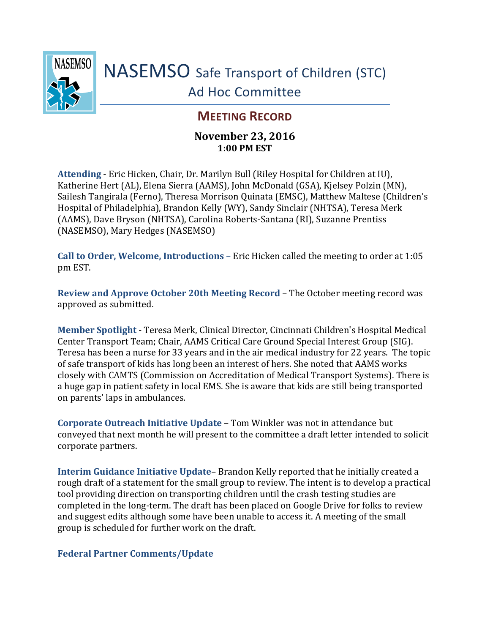

## **MEETING RECORD**

## **November 23, 2016 1:00 PM EST**

**Attending** - Eric Hicken, Chair, Dr. Marilyn Bull (Riley Hospital for Children at IU), Katherine Hert (AL), Elena Sierra (AAMS), John McDonald (GSA), Kjelsey Polzin (MN), Sailesh Tangirala (Ferno), Theresa Morrison Quinata (EMSC), Matthew Maltese (Children's Hospital of Philadelphia), Brandon Kelly (WY), Sandy Sinclair (NHTSA), Teresa Merk (AAMS), Dave Bryson (NHTSA), Carolina Roberts-Santana (RI), Suzanne Prentiss (NASEMSO), Mary Hedges (NASEMSO)

**Call to Order, Welcome, Introductions** – Eric Hicken called the meeting to order at 1:05 pm EST.

**Review and Approve October 20th Meeting Record** – The October meeting record was approved as submitted.

**Member Spotlight** - Teresa Merk, Clinical Director, Cincinnati Children's Hospital Medical Center Transport Team; Chair, AAMS Critical Care Ground Special Interest Group (SIG). Teresa has been a nurse for 33 years and in the air medical industry for 22 years. The topic of safe transport of kids has long been an interest of hers. She noted that AAMS works closely with CAMTS (Commission on Accreditation of Medical Transport Systems). There is a huge gap in patient safety in local EMS. She is aware that kids are still being transported on parents' laps in ambulances.

**Corporate Outreach Initiative Update** – Tom Winkler was not in attendance but conveyed that next month he will present to the committee a draft letter intended to solicit corporate partners.

**Interim Guidance Initiative Update**– Brandon Kelly reported that he initially created a rough draft of a statement for the small group to review. The intent is to develop a practical tool providing direction on transporting children until the crash testing studies are completed in the long-term. The draft has been placed on Google Drive for folks to review and suggest edits although some have been unable to access it. A meeting of the small group is scheduled for further work on the draft.

## **Federal Partner Comments/Update**